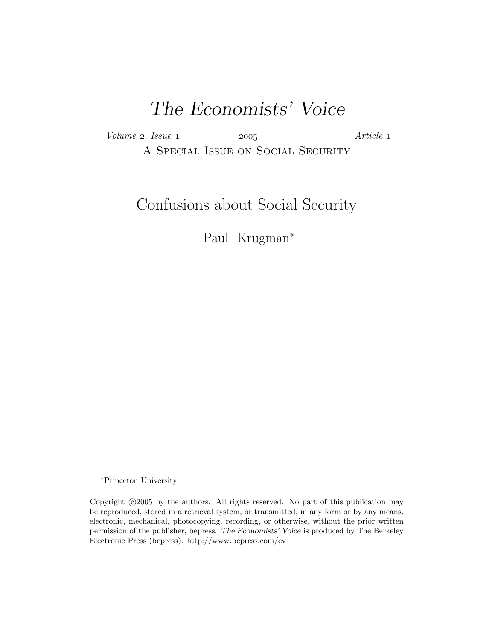# The Economists' Voice

 $Volume\ 2, Issue\ 1$   $2005$   $Article\ 1$ A Special Issue on Social Security

### Confusions about Social Security

Paul Krugman<sup>∗</sup>

<sup>∗</sup>Princeton University

Copyright  $\odot$ 2005 by the authors. All rights reserved. No part of this publication may be reproduced, stored in a retrieval system, or transmitted, in any form or by any means, electronic, mechanical, photocopying, recording, or otherwise, without the prior written permission of the publisher, bepress. The Economists' Voice is produced by The Berkeley Electronic Press (bepress). http://www.bepress.com/ev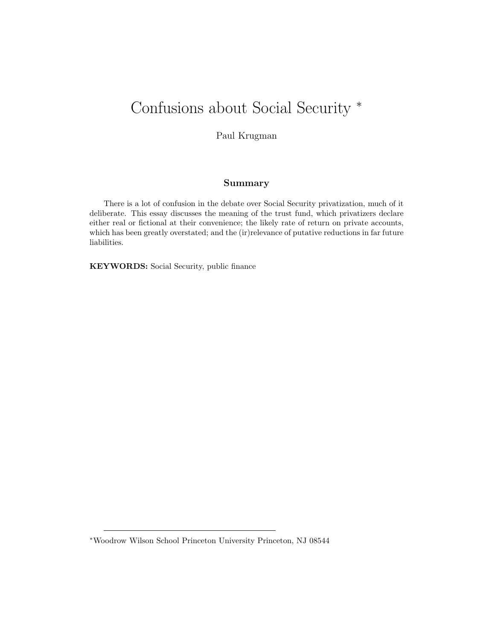## Confusions about Social Security <sup>∗</sup>

Paul Krugman

#### Summary

There is a lot of confusion in the debate over Social Security privatization, much of it deliberate. This essay discusses the meaning of the trust fund, which privatizers declare either real or fictional at their convenience; the likely rate of return on private accounts, which has been greatly overstated; and the (ir)relevance of putative reductions in far future liabilities.

KEYWORDS: Social Security, public finance

<sup>∗</sup>Woodrow Wilson School Princeton University Princeton, NJ 08544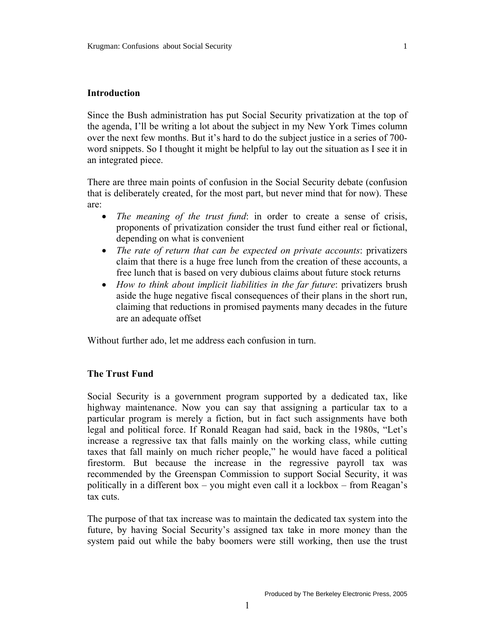#### **Introduction**

Since the Bush administration has put Social Security privatization at the top of the agenda, I'll be writing a lot about the subject in my New York Times column over the next few months. But it's hard to do the subject justice in a series of 700 word snippets. So I thought it might be helpful to lay out the situation as I see it in an integrated piece.

There are three main points of confusion in the Social Security debate (confusion that is deliberately created, for the most part, but never mind that for now). These are:

- *The meaning of the trust fund*: in order to create a sense of crisis, proponents of privatization consider the trust fund either real or fictional, depending on what is convenient
- *The rate of return that can be expected on private accounts*: privatizers claim that there is a huge free lunch from the creation of these accounts, a free lunch that is based on very dubious claims about future stock returns
- *How to think about implicit liabilities in the far future*: privatizers brush aside the huge negative fiscal consequences of their plans in the short run, claiming that reductions in promised payments many decades in the future are an adequate offset

Without further ado, let me address each confusion in turn.

#### **The Trust Fund**

Social Security is a government program supported by a dedicated tax, like highway maintenance. Now you can say that assigning a particular tax to a particular program is merely a fiction, but in fact such assignments have both legal and political force. If Ronald Reagan had said, back in the 1980s, "Let's increase a regressive tax that falls mainly on the working class, while cutting taxes that fall mainly on much richer people," he would have faced a political firestorm. But because the increase in the regressive payroll tax was recommended by the Greenspan Commission to support Social Security, it was politically in a different box – you might even call it a lockbox – from Reagan's tax cuts.

The purpose of that tax increase was to maintain the dedicated tax system into the future, by having Social Security's assigned tax take in more money than the system paid out while the baby boomers were still working, then use the trust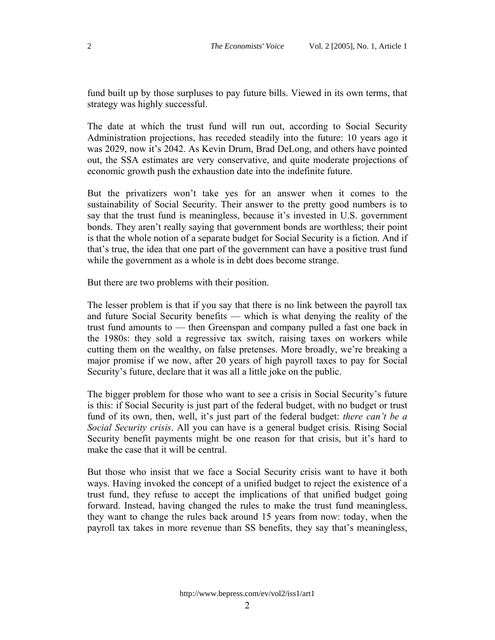fund built up by those surpluses to pay future bills. Viewed in its own terms, that strategy was highly successful.

The date at which the trust fund will run out, according to Social Security Administration projections, has receded steadily into the future: 10 years ago it was 2029, now it's 2042. As Kevin Drum, Brad DeLong, and others have pointed out, the SSA estimates are very conservative, and quite moderate projections of economic growth push the exhaustion date into the indefinite future.

But the privatizers won't take yes for an answer when it comes to the sustainability of Social Security. Their answer to the pretty good numbers is to say that the trust fund is meaningless, because it's invested in U.S. government bonds. They aren't really saying that government bonds are worthless; their point is that the whole notion of a separate budget for Social Security is a fiction. And if that's true, the idea that one part of the government can have a positive trust fund while the government as a whole is in debt does become strange.

But there are two problems with their position.

The lesser problem is that if you say that there is no link between the payroll tax and future Social Security benefits — which is what denying the reality of the trust fund amounts to — then Greenspan and company pulled a fast one back in the 1980s: they sold a regressive tax switch, raising taxes on workers while cutting them on the wealthy, on false pretenses. More broadly, we're breaking a major promise if we now, after 20 years of high payroll taxes to pay for Social Security's future, declare that it was all a little joke on the public.

The bigger problem for those who want to see a crisis in Social Security's future is this: if Social Security is just part of the federal budget, with no budget or trust fund of its own, then, well, it's just part of the federal budget: *there can't be a Social Security crisis*. All you can have is a general budget crisis. Rising Social Security benefit payments might be one reason for that crisis, but it's hard to make the case that it will be central.

But those who insist that we face a Social Security crisis want to have it both ways. Having invoked the concept of a unified budget to reject the existence of a trust fund, they refuse to accept the implications of that unified budget going forward. Instead, having changed the rules to make the trust fund meaningless, they want to change the rules back around 15 years from now: today, when the payroll tax takes in more revenue than SS benefits, they say that's meaningless,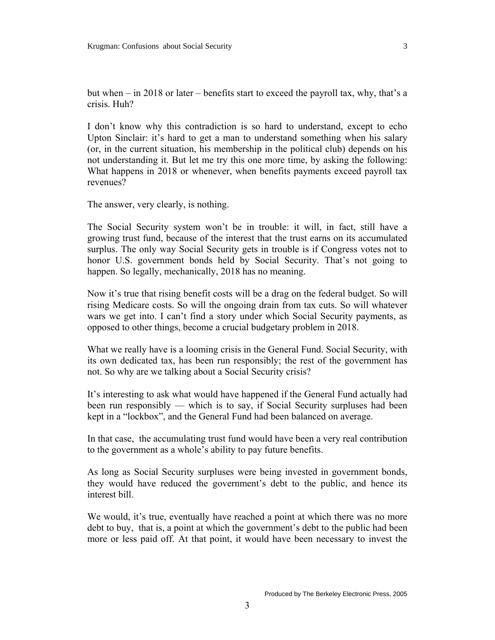but when – in 2018 or later – benefits start to exceed the payroll tax, why, that's a crisis. Huh?

I don't know why this contradiction is so hard to understand, except to echo Upton Sinclair: it's hard to get a man to understand something when his salary (or, in the current situation, his membership in the political club) depends on his not understanding it. But let me try this one more time, by asking the following: What happens in 2018 or whenever, when benefits payments exceed payroll tax revenues?

The answer, very clearly, is nothing.

The Social Security system won't be in trouble: it will, in fact, still have a growing trust fund, because of the interest that the trust earns on its accumulated surplus. The only way Social Security gets in trouble is if Congress votes not to honor U.S. government bonds held by Social Security. That's not going to happen. So legally, mechanically, 2018 has no meaning.

Now it's true that rising benefit costs will be a drag on the federal budget. So will rising Medicare costs. So will the ongoing drain from tax cuts. So will whatever wars we get into. I can't find a story under which Social Security payments, as opposed to other things, become a crucial budgetary problem in 2018.

What we really have is a looming crisis in the General Fund. Social Security, with its own dedicated tax, has been run responsibly; the rest of the government has not. So why are we talking about a Social Security crisis?

It's interesting to ask what would have happened if the General Fund actually had been run responsibly — which is to say, if Social Security surpluses had been kept in a "lockbox", and the General Fund had been balanced on average.

In that case, the accumulating trust fund would have been a very real contribution to the government as a whole's ability to pay future benefits.

As long as Social Security surpluses were being invested in government bonds, they would have reduced the government's debt to the public, and hence its interest bill.

We would, it's true, eventually have reached a point at which there was no more debt to buy, that is, a point at which the government's debt to the public had been more or less paid off. At that point, it would have been necessary to invest the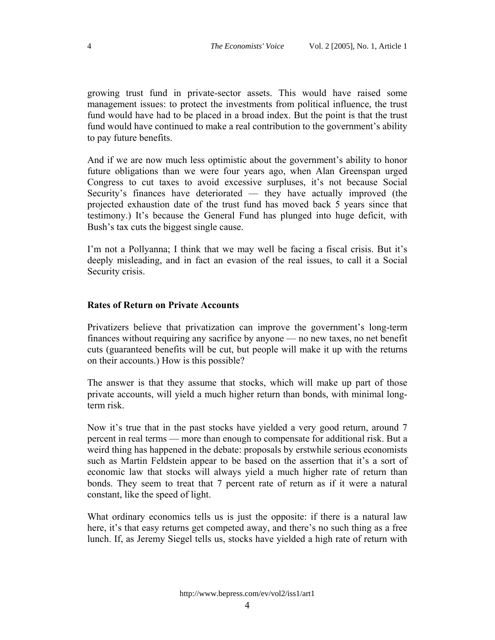growing trust fund in private-sector assets. This would have raised some management issues: to protect the investments from political influence, the trust fund would have had to be placed in a broad index. But the point is that the trust fund would have continued to make a real contribution to the government's ability to pay future benefits.

And if we are now much less optimistic about the government's ability to honor future obligations than we were four years ago, when Alan Greenspan urged Congress to cut taxes to avoid excessive surpluses, it's not because Social Security's finances have deteriorated — they have actually improved (the projected exhaustion date of the trust fund has moved back 5 years since that testimony.) It's because the General Fund has plunged into huge deficit, with Bush's tax cuts the biggest single cause.

I'm not a Pollyanna; I think that we may well be facing a fiscal crisis. But it's deeply misleading, and in fact an evasion of the real issues, to call it a Social Security crisis.

#### **Rates of Return on Private Accounts**

Privatizers believe that privatization can improve the government's long-term finances without requiring any sacrifice by anyone — no new taxes, no net benefit cuts (guaranteed benefits will be cut, but people will make it up with the returns on their accounts.) How is this possible?

The answer is that they assume that stocks, which will make up part of those private accounts, will yield a much higher return than bonds, with minimal longterm risk.

Now it's true that in the past stocks have yielded a very good return, around 7 percent in real terms — more than enough to compensate for additional risk. But a weird thing has happened in the debate: proposals by erstwhile serious economists such as Martin Feldstein appear to be based on the assertion that it's a sort of economic law that stocks will always yield a much higher rate of return than bonds. They seem to treat that 7 percent rate of return as if it were a natural constant, like the speed of light.

What ordinary economics tells us is just the opposite: if there is a natural law here, it's that easy returns get competed away, and there's no such thing as a free lunch. If, as Jeremy Siegel tells us, stocks have yielded a high rate of return with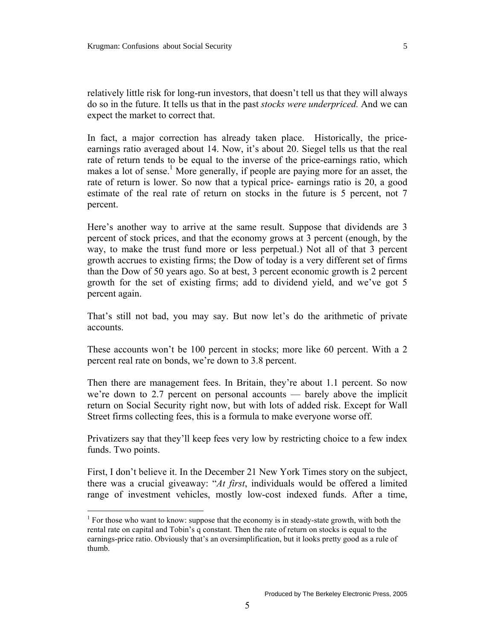relatively little risk for long-run investors, that doesn't tell us that they will always do so in the future. It tells us that in the past *stocks were underpriced.* And we can expect the market to correct that.

In fact, a major correction has already taken place. Historically, the priceearnings ratio averaged about 14. Now, it's about 20. Siegel tells us that the real rate of return tends to be equal to the inverse of the price-earnings ratio, which makes a lot of sense.<sup>1</sup> More generally, if people are paying more for an asset, the rate of return is lower. So now that a typical price- earnings ratio is 20, a good estimate of the real rate of return on stocks in the future is 5 percent, not 7 percent.

Here's another way to arrive at the same result. Suppose that dividends are 3 percent of stock prices, and that the economy grows at 3 percent (enough, by the way, to make the trust fund more or less perpetual.) Not all of that 3 percent growth accrues to existing firms; the Dow of today is a very different set of firms than the Dow of 50 years ago. So at best, 3 percent economic growth is 2 percent growth for the set of existing firms; add to dividend yield, and we've got 5 percent again.

That's still not bad, you may say. But now let's do the arithmetic of private accounts.

These accounts won't be 100 percent in stocks; more like 60 percent. With a 2 percent real rate on bonds, we're down to 3.8 percent.

Then there are management fees. In Britain, they're about 1.1 percent. So now we're down to 2.7 percent on personal accounts — barely above the implicit return on Social Security right now, but with lots of added risk. Except for Wall Street firms collecting fees, this is a formula to make everyone worse off.

Privatizers say that they'll keep fees very low by restricting choice to a few index funds. Two points.

First, I don't believe it. In the December 21 New York Times story on the subject, there was a crucial giveaway: "*At first*, individuals would be offered a limited range of investment vehicles, mostly low-cost indexed funds. After a time,

<u>.</u>

<sup>&</sup>lt;sup>1</sup> For those who want to know: suppose that the economy is in steady-state growth, with both the rental rate on capital and Tobin's q constant. Then the rate of return on stocks is equal to the earnings-price ratio. Obviously that's an oversimplification, but it looks pretty good as a rule of thumb.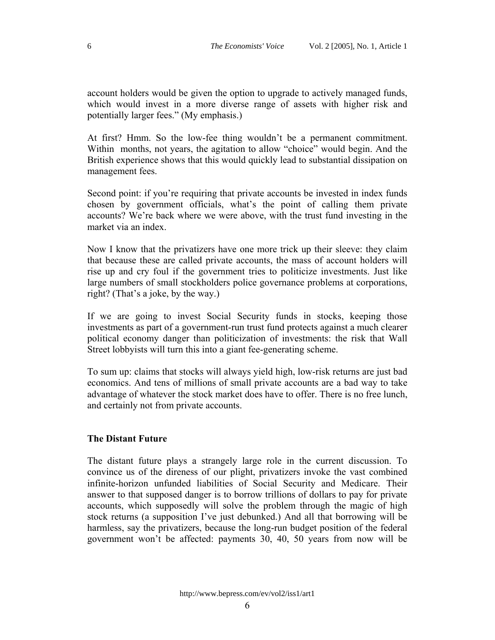account holders would be given the option to upgrade to actively managed funds, which would invest in a more diverse range of assets with higher risk and potentially larger fees." (My emphasis.)

At first? Hmm. So the low-fee thing wouldn't be a permanent commitment. Within months, not years, the agitation to allow "choice" would begin. And the British experience shows that this would quickly lead to substantial dissipation on management fees.

Second point: if you're requiring that private accounts be invested in index funds chosen by government officials, what's the point of calling them private accounts? We're back where we were above, with the trust fund investing in the market via an index.

Now I know that the privatizers have one more trick up their sleeve: they claim that because these are called private accounts, the mass of account holders will rise up and cry foul if the government tries to politicize investments. Just like large numbers of small stockholders police governance problems at corporations, right? (That's a joke, by the way.)

If we are going to invest Social Security funds in stocks, keeping those investments as part of a government-run trust fund protects against a much clearer political economy danger than politicization of investments: the risk that Wall Street lobbyists will turn this into a giant fee-generating scheme.

To sum up: claims that stocks will always yield high, low-risk returns are just bad economics. And tens of millions of small private accounts are a bad way to take advantage of whatever the stock market does have to offer. There is no free lunch, and certainly not from private accounts.

#### **The Distant Future**

The distant future plays a strangely large role in the current discussion. To convince us of the direness of our plight, privatizers invoke the vast combined infinite-horizon unfunded liabilities of Social Security and Medicare. Their answer to that supposed danger is to borrow trillions of dollars to pay for private accounts, which supposedly will solve the problem through the magic of high stock returns (a supposition I've just debunked.) And all that borrowing will be harmless, say the privatizers, because the long-run budget position of the federal government won't be affected: payments 30, 40, 50 years from now will be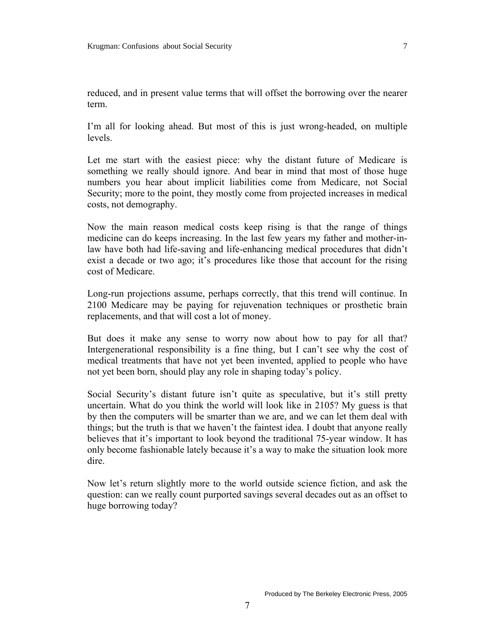reduced, and in present value terms that will offset the borrowing over the nearer term.

I'm all for looking ahead. But most of this is just wrong-headed, on multiple levels.

Let me start with the easiest piece: why the distant future of Medicare is something we really should ignore. And bear in mind that most of those huge numbers you hear about implicit liabilities come from Medicare, not Social Security; more to the point, they mostly come from projected increases in medical costs, not demography.

Now the main reason medical costs keep rising is that the range of things medicine can do keeps increasing. In the last few years my father and mother-inlaw have both had life-saving and life-enhancing medical procedures that didn't exist a decade or two ago; it's procedures like those that account for the rising cost of Medicare.

Long-run projections assume, perhaps correctly, that this trend will continue. In 2100 Medicare may be paying for rejuvenation techniques or prosthetic brain replacements, and that will cost a lot of money.

But does it make any sense to worry now about how to pay for all that? Intergenerational responsibility is a fine thing, but I can't see why the cost of medical treatments that have not yet been invented, applied to people who have not yet been born, should play any role in shaping today's policy.

Social Security's distant future isn't quite as speculative, but it's still pretty uncertain. What do you think the world will look like in 2105? My guess is that by then the computers will be smarter than we are, and we can let them deal with things; but the truth is that we haven't the faintest idea. I doubt that anyone really believes that it's important to look beyond the traditional 75-year window. It has only become fashionable lately because it's a way to make the situation look more dire.

Now let's return slightly more to the world outside science fiction, and ask the question: can we really count purported savings several decades out as an offset to huge borrowing today?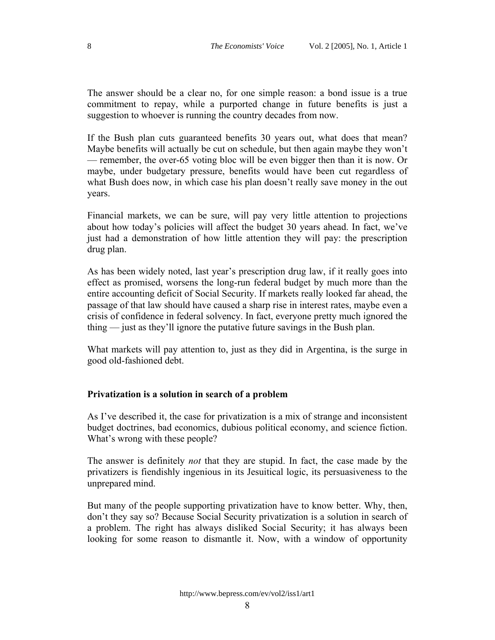The answer should be a clear no, for one simple reason: a bond issue is a true commitment to repay, while a purported change in future benefits is just a suggestion to whoever is running the country decades from now.

If the Bush plan cuts guaranteed benefits 30 years out, what does that mean? Maybe benefits will actually be cut on schedule, but then again maybe they won't — remember, the over-65 voting bloc will be even bigger then than it is now. Or maybe, under budgetary pressure, benefits would have been cut regardless of what Bush does now, in which case his plan doesn't really save money in the out years.

Financial markets, we can be sure, will pay very little attention to projections about how today's policies will affect the budget 30 years ahead. In fact, we've just had a demonstration of how little attention they will pay: the prescription drug plan.

As has been widely noted, last year's prescription drug law, if it really goes into effect as promised, worsens the long-run federal budget by much more than the entire accounting deficit of Social Security. If markets really looked far ahead, the passage of that law should have caused a sharp rise in interest rates, maybe even a crisis of confidence in federal solvency. In fact, everyone pretty much ignored the thing — just as they'll ignore the putative future savings in the Bush plan.

What markets will pay attention to, just as they did in Argentina, is the surge in good old-fashioned debt.

### **Privatization is a solution in search of a problem**

As I've described it, the case for privatization is a mix of strange and inconsistent budget doctrines, bad economics, dubious political economy, and science fiction. What's wrong with these people?

The answer is definitely *not* that they are stupid. In fact, the case made by the privatizers is fiendishly ingenious in its Jesuitical logic, its persuasiveness to the unprepared mind.

But many of the people supporting privatization have to know better. Why, then, don't they say so? Because Social Security privatization is a solution in search of a problem. The right has always disliked Social Security; it has always been looking for some reason to dismantle it. Now, with a window of opportunity